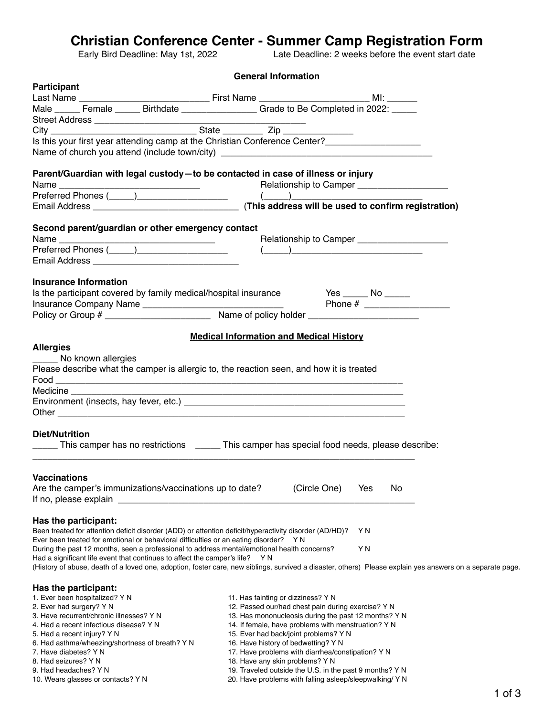# **Christian Conference Center - Summer Camp Registration Form**<br>Early Bird Deadline: May 1st, 2022<br>Late Deadline: 2 weeks before the event start date

Late Deadline: 2 weeks before the event start date

|                                               |                                          |                                                                              | <b>General Information</b>                                                                                                                                                                      |                                               |    |                                                                                                                                                           |
|-----------------------------------------------|------------------------------------------|------------------------------------------------------------------------------|-------------------------------------------------------------------------------------------------------------------------------------------------------------------------------------------------|-----------------------------------------------|----|-----------------------------------------------------------------------------------------------------------------------------------------------------------|
| Participant                                   |                                          |                                                                              |                                                                                                                                                                                                 |                                               |    |                                                                                                                                                           |
|                                               |                                          |                                                                              |                                                                                                                                                                                                 |                                               |    |                                                                                                                                                           |
|                                               |                                          |                                                                              | Male _____ Female _____ Birthdate ________________Grade to Be Completed in 2022: _____                                                                                                          |                                               |    |                                                                                                                                                           |
|                                               |                                          |                                                                              |                                                                                                                                                                                                 |                                               |    |                                                                                                                                                           |
|                                               |                                          |                                                                              |                                                                                                                                                                                                 |                                               |    |                                                                                                                                                           |
|                                               |                                          |                                                                              | Is this your first year attending camp at the Christian Conference Center?_________________________                                                                                             |                                               |    |                                                                                                                                                           |
|                                               |                                          |                                                                              |                                                                                                                                                                                                 |                                               |    |                                                                                                                                                           |
|                                               |                                          |                                                                              |                                                                                                                                                                                                 |                                               |    |                                                                                                                                                           |
|                                               |                                          |                                                                              | Parent/Guardian with legal custody-to be contacted in case of illness or injury                                                                                                                 |                                               |    |                                                                                                                                                           |
|                                               |                                          |                                                                              |                                                                                                                                                                                                 | Relationship to Camper __________________     |    |                                                                                                                                                           |
|                                               |                                          |                                                                              | <u>France Communication (Communication (Communication (Communication (Communication (Communication (Communication</u>                                                                           |                                               |    |                                                                                                                                                           |
|                                               |                                          |                                                                              |                                                                                                                                                                                                 |                                               |    |                                                                                                                                                           |
|                                               |                                          |                                                                              |                                                                                                                                                                                                 |                                               |    |                                                                                                                                                           |
|                                               |                                          | Second parent/guardian or other emergency contact                            |                                                                                                                                                                                                 |                                               |    |                                                                                                                                                           |
|                                               |                                          |                                                                              |                                                                                                                                                                                                 | Relationship to Camper ______________________ |    |                                                                                                                                                           |
|                                               |                                          |                                                                              |                                                                                                                                                                                                 |                                               |    |                                                                                                                                                           |
|                                               |                                          |                                                                              |                                                                                                                                                                                                 |                                               |    |                                                                                                                                                           |
|                                               |                                          |                                                                              |                                                                                                                                                                                                 |                                               |    |                                                                                                                                                           |
|                                               | <b>Insurance Information</b>             |                                                                              |                                                                                                                                                                                                 |                                               |    |                                                                                                                                                           |
|                                               |                                          |                                                                              | Is the participant covered by family medical/hospital insurance Yes ______ No _____                                                                                                             |                                               |    |                                                                                                                                                           |
|                                               |                                          |                                                                              |                                                                                                                                                                                                 |                                               |    |                                                                                                                                                           |
|                                               |                                          |                                                                              |                                                                                                                                                                                                 |                                               |    |                                                                                                                                                           |
|                                               |                                          |                                                                              |                                                                                                                                                                                                 |                                               |    |                                                                                                                                                           |
|                                               |                                          |                                                                              | <b>Medical Information and Medical History</b>                                                                                                                                                  |                                               |    |                                                                                                                                                           |
| <b>Allergies</b>                              |                                          |                                                                              |                                                                                                                                                                                                 |                                               |    |                                                                                                                                                           |
|                                               | No known allergies                       |                                                                              |                                                                                                                                                                                                 |                                               |    |                                                                                                                                                           |
|                                               |                                          |                                                                              | Please describe what the camper is allergic to, the reaction seen, and how it is treated                                                                                                        |                                               |    |                                                                                                                                                           |
|                                               |                                          |                                                                              |                                                                                                                                                                                                 |                                               |    |                                                                                                                                                           |
| Medicine ____                                 |                                          |                                                                              |                                                                                                                                                                                                 |                                               |    |                                                                                                                                                           |
|                                               |                                          |                                                                              |                                                                                                                                                                                                 |                                               |    |                                                                                                                                                           |
|                                               |                                          |                                                                              |                                                                                                                                                                                                 |                                               |    |                                                                                                                                                           |
|                                               |                                          |                                                                              |                                                                                                                                                                                                 |                                               |    |                                                                                                                                                           |
| <b>Diet/Nutrition</b>                         |                                          |                                                                              |                                                                                                                                                                                                 |                                               |    |                                                                                                                                                           |
|                                               |                                          |                                                                              | This camper has no restrictions _______ This camper has special food needs, please describe:                                                                                                    |                                               |    |                                                                                                                                                           |
|                                               |                                          |                                                                              |                                                                                                                                                                                                 |                                               |    |                                                                                                                                                           |
|                                               |                                          |                                                                              |                                                                                                                                                                                                 |                                               |    |                                                                                                                                                           |
| <b>Vaccinations</b>                           |                                          |                                                                              |                                                                                                                                                                                                 |                                               |    |                                                                                                                                                           |
|                                               |                                          | Are the camper's immunizations/vaccinations up to date?                      |                                                                                                                                                                                                 | (Circle One)<br>Yes                           | No |                                                                                                                                                           |
| If no, please explain                         |                                          |                                                                              |                                                                                                                                                                                                 |                                               |    |                                                                                                                                                           |
|                                               |                                          |                                                                              |                                                                                                                                                                                                 |                                               |    |                                                                                                                                                           |
| Has the participant:                          |                                          |                                                                              |                                                                                                                                                                                                 |                                               |    |                                                                                                                                                           |
|                                               |                                          |                                                                              | Been treated for attention deficit disorder (ADD) or attention deficit/hyperactivity disorder (AD/HD)?<br>Ever been treated for emotional or behavioral difficulties or an eating disorder? Y N | ΥN                                            |    |                                                                                                                                                           |
|                                               |                                          |                                                                              | During the past 12 months, seen a professional to address mental/emotional health concerns?                                                                                                     | ΥN                                            |    |                                                                                                                                                           |
|                                               |                                          | Had a significant life event that continues to affect the camper's life? Y N |                                                                                                                                                                                                 |                                               |    |                                                                                                                                                           |
|                                               |                                          |                                                                              |                                                                                                                                                                                                 |                                               |    | (History of abuse, death of a loved one, adoption, foster care, new siblings, survived a disaster, others) Please explain yes answers on a separate page. |
|                                               |                                          |                                                                              |                                                                                                                                                                                                 |                                               |    |                                                                                                                                                           |
| Has the participant:                          |                                          |                                                                              |                                                                                                                                                                                                 |                                               |    |                                                                                                                                                           |
|                                               | 1. Ever been hospitalized? Y N           |                                                                              | 11. Has fainting or dizziness? Y N                                                                                                                                                              |                                               |    |                                                                                                                                                           |
| 2. Ever had surgery? Y N                      |                                          |                                                                              | 12. Passed our/had chest pain during exercise? Y N                                                                                                                                              |                                               |    |                                                                                                                                                           |
|                                               | 3. Have recurrent/chronic illnesses? Y N |                                                                              | 13. Has mononucleosis during the past 12 months? Y N                                                                                                                                            |                                               |    |                                                                                                                                                           |
|                                               | 4. Had a recent infectious disease? Y N  |                                                                              | 14. If female, have problems with menstruation? Y N                                                                                                                                             |                                               |    |                                                                                                                                                           |
| 5. Had a recent injury? Y N                   |                                          |                                                                              | 15. Ever had back/joint problems? Y N                                                                                                                                                           |                                               |    |                                                                                                                                                           |
|                                               |                                          | 6. Had asthma/wheezing/shortness of breath? Y N                              | 16. Have history of bedwetting? Y N                                                                                                                                                             |                                               |    |                                                                                                                                                           |
| 7. Have diabetes? Y N                         |                                          |                                                                              | 17. Have problems with diarrhea/constipation? Y N                                                                                                                                               |                                               |    |                                                                                                                                                           |
| 8. Had seizures? Y N<br>9. Had headaches? Y N |                                          |                                                                              | 18. Have any skin problems? Y N<br>19. Traveled outside the U.S. in the past 9 months? Y N                                                                                                      |                                               |    |                                                                                                                                                           |
|                                               | 10. Wears glasses or contacts? Y N       |                                                                              | 20. Have problems with falling asleep/sleepwalking/ Y N                                                                                                                                         |                                               |    |                                                                                                                                                           |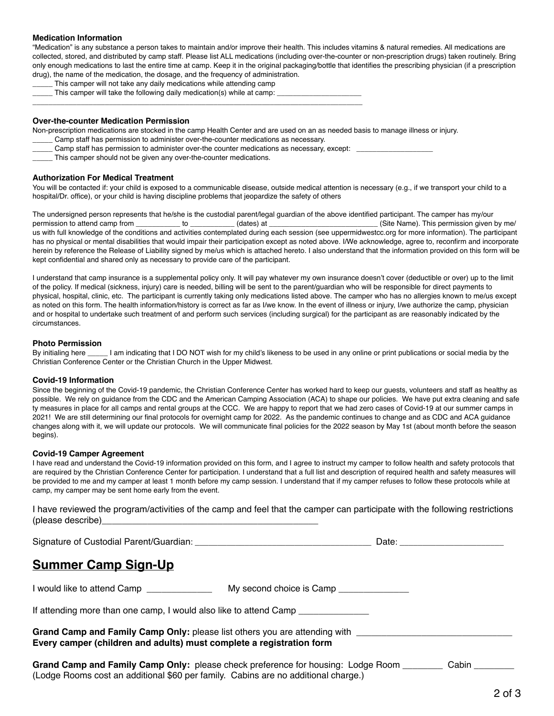#### **Medication Information**

"Medication" is any substance a person takes to maintain and/or improve their health. This includes vitamins & natural remedies. All medications are collected, stored, and distributed by camp staff. Please list ALL medications (including over-the-counter or non-prescription drugs) taken routinely. Bring only enough medications to last the entire time at camp. Keep it in the original packaging/bottle that identifies the prescribing physician (if a prescription drug), the name of the medication, the dosage, and the frequency of administration.

- This camper will not take any daily medications while attending camp
	- This camper will take the following daily medication(s) while at camp:

#### **Over-the-counter Medication Permission**

Non-prescription medications are stocked in the camp Health Center and are used on an as needed basis to manage illness or injury.

Camp staff has permission to administer over-the-counter medications as necessary.

\_\_\_\_\_\_\_\_\_\_\_\_\_\_\_\_\_\_\_\_\_\_\_\_\_\_\_\_\_\_\_\_\_\_\_\_\_\_\_\_\_\_\_\_\_\_\_\_\_\_\_\_\_\_\_\_\_\_\_\_\_\_\_\_\_\_\_\_\_\_\_\_\_\_\_\_\_\_\_\_\_\_

- Camp staff has permission to administer over-the counter medications as necessary, except:
- \_\_\_\_\_ This camper should not be given any over-the-counter medications.

#### **Authorization For Medical Treatment**

You will be contacted if: your child is exposed to a communicable disease, outside medical attention is necessary (e.g., if we transport your child to a hospital/Dr. office), or your child is having discipline problems that jeopardize the safety of others

The undersigned person represents that he/she is the custodial parent/legal guardian of the above identified participant. The camper has my/our permission to attend camp from \_\_\_\_\_\_\_\_\_\_\_\_\_ to \_\_\_\_\_\_\_\_\_\_\_\_\_(dates) at \_\_\_\_\_\_\_\_\_\_\_\_\_\_\_\_\_\_\_\_\_\_\_\_\_\_(Site Name). This permission given by me/ us with full knowledge of the conditions and activities contemplated during each session (see uppermidwestcc.org for more information). The participant has no physical or mental disabilities that would impair their participation except as noted above. I/We acknowledge, agree to, reconfirm and incorporate herein by reference the Release of Liability signed by me/us which is attached hereto. I also understand that the information provided on this form will be kept confidential and shared only as necessary to provide care of the participant.

I understand that camp insurance is a supplemental policy only. It will pay whatever my own insurance doesn't cover (deductible or over) up to the limit of the policy. If medical (sickness, injury) care is needed, billing will be sent to the parent/guardian who will be responsible for direct payments to physical, hospital, clinic, etc. The participant is currently taking only medications listed above. The camper who has no allergies known to me/us except as noted on this form. The health information/history is correct as far as I/we know. In the event of illness or injury, I/we authorize the camp, physician and or hospital to undertake such treatment of and perform such services (including surgical) for the participant as are reasonably indicated by the circumstances.

#### **Photo Permission**

By initialing here \_\_\_\_\_ I am indicating that I DO NOT wish for my child's likeness to be used in any online or print publications or social media by the Christian Conference Center or the Christian Church in the Upper Midwest.

#### **Covid-19 Information**

Since the beginning of the Covid-19 pandemic, the Christian Conference Center has worked hard to keep our guests, volunteers and staff as healthy as possible. We rely on guidance from the CDC and the American Camping Association (ACA) to shape our policies. We have put extra cleaning and safe ty measures in place for all camps and rental groups at the CCC. We are happy to report that we had zero cases of Covid-19 at our summer camps in 2021! We are still determining our final protocols for overnight camp for 2022. As the pandemic continues to change and as CDC and ACA guidance changes along with it, we will update our protocols. We will communicate final policies for the 2022 season by May 1st (about month before the season begins).

#### **Covid-19 Camper Agreement**

I have read and understand the Covid-19 information provided on this form, and I agree to instruct my camper to follow health and safety protocols that are required by the Christian Conference Center for participation. I understand that a full list and description of required health and safety measures will be provided to me and my camper at least 1 month before my camp session. I understand that if my camper refuses to follow these protocols while at camp, my camper may be sent home early from the event.

I have reviewed the program/activities of the camp and feel that the camper can participate with the following restrictions (please describe)\_\_\_\_\_\_\_\_\_\_\_\_\_\_\_\_\_\_\_\_\_\_\_\_\_\_\_\_\_\_\_\_\_\_\_\_\_\_\_\_\_\_\_

| <b>Summer Camp Sign-Up</b>                                                                                                                                                                    |  |  |
|-----------------------------------------------------------------------------------------------------------------------------------------------------------------------------------------------|--|--|
|                                                                                                                                                                                               |  |  |
| If attending more than one camp, I would also like to attend Camp ______________                                                                                                              |  |  |
| Grand Camp and Family Camp Only: please list others you are attending with ________________________<br>Every camper (children and adults) must complete a registration form                   |  |  |
| Grand Camp and Family Camp Only: please check preference for housing: Lodge Room ________ Cabin _______<br>(Lodge Rooms cost an additional \$60 per family. Cabins are no additional charge.) |  |  |